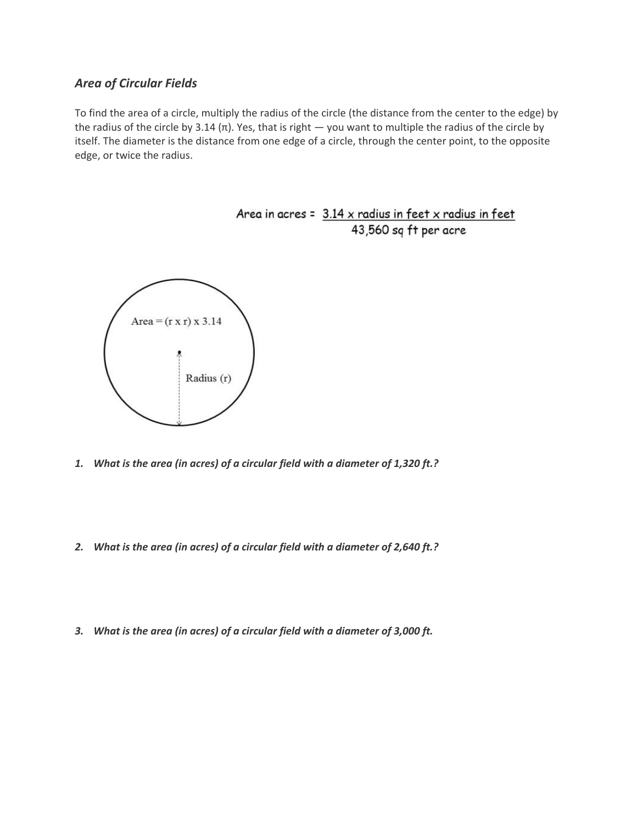## *Area of Circular Fields*

To find the area of a circle, multiply the radius of the circle (the distance from the center to the edge) by the radius of the circle by 3.14 (π). Yes, that is right  $-$  you want to multiple the radius of the circle by itself. The diameter is the distance from one edge of a circle, through the center point, to the opposite edge, or twice the radius.



- *1. What is the area (in acres) of a circular field with a diameter of 1,320 ft.?*
- *2. What is the area (in acres) of a circular field with a diameter of 2,640 ft.?*
- *3. What is the area (in acres) of a circular field with a diameter of 3,000 ft.*